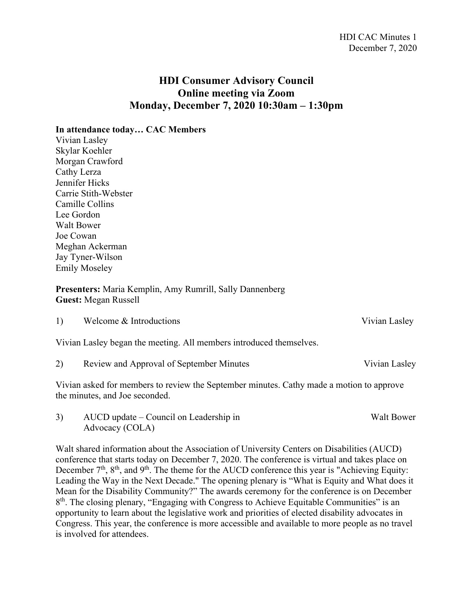## **HDI Consumer Advisory Council Online meeting via Zoom Monday, December 7, 2020 10:30am – 1:30pm**

**In attendance today… CAC Members**

Vivian Lasley Skylar Koehler Morgan Crawford Cathy Lerza Jennifer Hicks Carrie Stith-Webster Camille Collins Lee Gordon Walt Bower Joe Cowan Meghan Ackerman Jay Tyner-Wilson Emily Moseley

**Presenters:** Maria Kemplin, Amy Rumrill, Sally Dannenberg **Guest:** Megan Russell

1) Welcome & Introductions Vivian Lasley

Vivian Lasley began the meeting. All members introduced themselves.

2) Review and Approval of September Minutes Vivian Lasley

Vivian asked for members to review the September minutes. Cathy made a motion to approve the minutes, and Joe seconded.

3) AUCD update – Council on Leadership in Walt Bower Advocacy (COLA)

Walt shared information about the Association of University Centers on Disabilities (AUCD) conference that starts today on December 7, 2020. The conference is virtual and takes place on December  $7<sup>th</sup>$ ,  $8<sup>th</sup>$ , and  $9<sup>th</sup>$ . The theme for the AUCD conference this year is "Achieving Equity: Leading the Way in the Next Decade." The opening plenary is "What is Equity and What does it Mean for the Disability Community?" The awards ceremony for the conference is on December 8<sup>th</sup>. The closing plenary, "Engaging with Congress to Achieve Equitable Communities" is an opportunity to learn about the legislative work and priorities of elected disability advocates in Congress. This year, the conference is more accessible and available to more people as no travel is involved for attendees.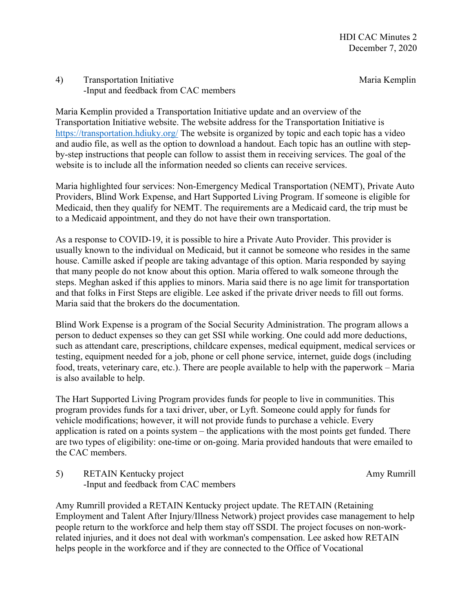## 4) Transportation Initiative Transportation Initiative Maria Kemplin -Input and feedback from CAC members

Maria Kemplin provided a Transportation Initiative update and an overview of the Transportation Initiative website. The website address for the Transportation Initiative is <https://transportation.hdiuky.org/> The website is organized by topic and each topic has a video and audio file, as well as the option to download a handout. Each topic has an outline with stepby-step instructions that people can follow to assist them in receiving services. The goal of the website is to include all the information needed so clients can receive services.

Maria highlighted four services: Non-Emergency Medical Transportation (NEMT), Private Auto Providers, Blind Work Expense, and Hart Supported Living Program. If someone is eligible for Medicaid, then they qualify for NEMT. The requirements are a Medicaid card, the trip must be to a Medicaid appointment, and they do not have their own transportation.

As a response to COVID-19, it is possible to hire a Private Auto Provider. This provider is usually known to the individual on Medicaid, but it cannot be someone who resides in the same house. Camille asked if people are taking advantage of this option. Maria responded by saying that many people do not know about this option. Maria offered to walk someone through the steps. Meghan asked if this applies to minors. Maria said there is no age limit for transportation and that folks in First Steps are eligible. Lee asked if the private driver needs to fill out forms. Maria said that the brokers do the documentation.

Blind Work Expense is a program of the Social Security Administration. The program allows a person to deduct expenses so they can get SSI while working. One could add more deductions, such as attendant care, prescriptions, childcare expenses, medical equipment, medical services or testing, equipment needed for a job, phone or cell phone service, internet, guide dogs (including food, treats, veterinary care, etc.). There are people available to help with the paperwork – Maria is also available to help.

The Hart Supported Living Program provides funds for people to live in communities. This program provides funds for a taxi driver, uber, or Lyft. Someone could apply for funds for vehicle modifications; however, it will not provide funds to purchase a vehicle. Every application is rated on a points system – the applications with the most points get funded. There are two types of eligibility: one-time or on-going. Maria provided handouts that were emailed to the CAC members.

5) RETAIN Kentucky project Amy Rumrill -Input and feedback from CAC members

Amy Rumrill provided a RETAIN Kentucky project update. The RETAIN (Retaining Employment and Talent After Injury/Illness Network) project provides case management to help people return to the workforce and help them stay off SSDI. The project focuses on non-workrelated injuries, and it does not deal with workman's compensation. Lee asked how RETAIN helps people in the workforce and if they are connected to the Office of Vocational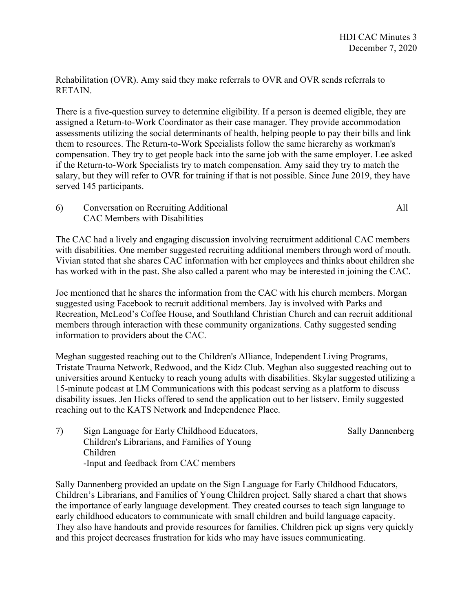Rehabilitation (OVR). Amy said they make referrals to OVR and OVR sends referrals to RETAIN.

There is a five-question survey to determine eligibility. If a person is deemed eligible, they are assigned a Return-to-Work Coordinator as their case manager. They provide accommodation assessments utilizing the social determinants of health, helping people to pay their bills and link them to resources. The Return-to-Work Specialists follow the same hierarchy as workman's compensation. They try to get people back into the same job with the same employer. Lee asked if the Return-to-Work Specialists try to match compensation. Amy said they try to match the salary, but they will refer to OVR for training if that is not possible. Since June 2019, they have served 145 participants.

6) Conversation on Recruiting Additional All CAC Members with Disabilities

The CAC had a lively and engaging discussion involving recruitment additional CAC members with disabilities. One member suggested recruiting additional members through word of mouth. Vivian stated that she shares CAC information with her employees and thinks about children she has worked with in the past. She also called a parent who may be interested in joining the CAC.

Joe mentioned that he shares the information from the CAC with his church members. Morgan suggested using Facebook to recruit additional members. Jay is involved with Parks and Recreation, McLeod's Coffee House, and Southland Christian Church and can recruit additional members through interaction with these community organizations. Cathy suggested sending information to providers about the CAC.

Meghan suggested reaching out to the Children's Alliance, Independent Living Programs, Tristate Trauma Network, Redwood, and the Kidz Club. Meghan also suggested reaching out to universities around Kentucky to reach young adults with disabilities. Skylar suggested utilizing a 15-minute podcast at LM Communications with this podcast serving as a platform to discuss disability issues. Jen Hicks offered to send the application out to her listserv. Emily suggested reaching out to the KATS Network and Independence Place.

7) Sign Language for Early Childhood Educators, Sally Dannenberg Children's Librarians, and Families of Young Children -Input and feedback from CAC members

Sally Dannenberg provided an update on the Sign Language for Early Childhood Educators, Children's Librarians, and Families of Young Children project. Sally shared a chart that shows the importance of early language development. They created courses to teach sign language to early childhood educators to communicate with small children and build language capacity. They also have handouts and provide resources for families. Children pick up signs very quickly and this project decreases frustration for kids who may have issues communicating.